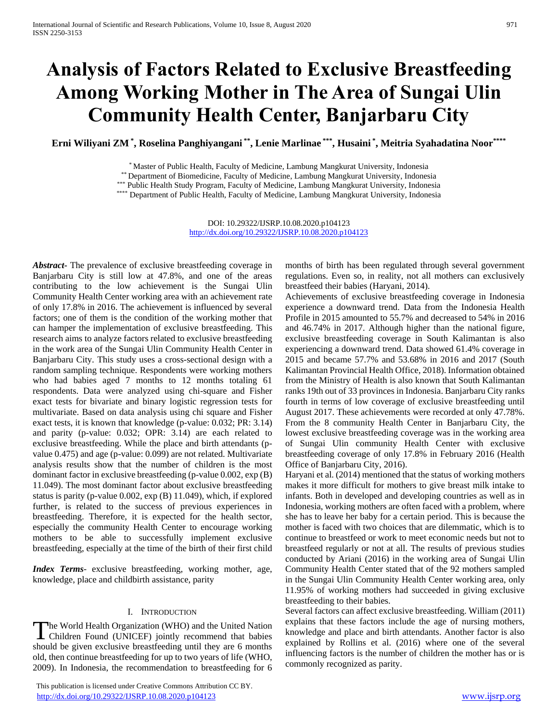# **Analysis of Factors Related to Exclusive Breastfeeding Among Working Mother in The Area of Sungai Ulin Community Health Center, Banjarbaru City**

**Erni Wiliyani ZM \* , Roselina Panghiyangani \*\* , Lenie Marlinae \*\*\* , Husaini \* , Meitria Syahadatina Noor\*\*\*\***

\* Master of Public Health, Faculty of Medicine, Lambung Mangkurat University, Indonesia

\*\* Department of Biomedicine, Faculty of Medicine, Lambung Mangkurat University, Indonesia

\*\*\* Public Health Study Program, Faculty of Medicine, Lambung Mangkurat University, Indonesia

\*\*\*\* Department of Public Health, Faculty of Medicine, Lambung Mangkurat University, Indonesia

DOI: 10.29322/IJSRP.10.08.2020.p104123 <http://dx.doi.org/10.29322/IJSRP.10.08.2020.p104123>

*Abstract***-** The prevalence of exclusive breastfeeding coverage in Banjarbaru City is still low at 47.8%, and one of the areas contributing to the low achievement is the Sungai Ulin Community Health Center working area with an achievement rate of only 17.8% in 2016. The achievement is influenced by several factors; one of them is the condition of the working mother that can hamper the implementation of exclusive breastfeeding. This research aims to analyze factors related to exclusive breastfeeding in the work area of the Sungai Ulin Community Health Center in Banjarbaru City. This study uses a cross-sectional design with a random sampling technique. Respondents were working mothers who had babies aged 7 months to 12 months totaling 61 respondents. Data were analyzed using chi-square and Fisher exact tests for bivariate and binary logistic regression tests for multivariate. Based on data analysis using chi square and Fisher exact tests, it is known that knowledge (p-value: 0.032; PR: 3.14) and parity (p-value: 0.032; OPR: 3.14) are each related to exclusive breastfeeding. While the place and birth attendants (pvalue 0.475) and age (p-value: 0.099) are not related. Multivariate analysis results show that the number of children is the most dominant factor in exclusive breastfeeding (p-value 0.002, exp (B) 11.049). The most dominant factor about exclusive breastfeeding status is parity (p-value 0.002, exp (B) 11.049), which, if explored further, is related to the success of previous experiences in breastfeeding. Therefore, it is expected for the health sector, especially the community Health Center to encourage working mothers to be able to successfully implement exclusive breastfeeding, especially at the time of the birth of their first child

*Index Terms*- exclusive breastfeeding, working mother, age, knowledge, place and childbirth assistance, parity

### I. INTRODUCTION

The World Health Organization (WHO) and the United Nation The World Health Organization (WHO) and the United Nation<br>Children Found (UNICEF) jointly recommend that babies should be given exclusive breastfeeding until they are 6 months old, then continue breastfeeding for up to two years of life (WHO, 2009). In Indonesia, the recommendation to breastfeeding for 6

 This publication is licensed under Creative Commons Attribution CC BY. <http://dx.doi.org/10.29322/IJSRP.10.08.2020.p104123> [www.ijsrp.org](http://ijsrp.org/)

months of birth has been regulated through several government regulations. Even so, in reality, not all mothers can exclusively breastfeed their babies (Haryani, 2014).

Achievements of exclusive breastfeeding coverage in Indonesia experience a downward trend. Data from the Indonesia Health Profile in 2015 amounted to 55.7% and decreased to 54% in 2016 and 46.74% in 2017. Although higher than the national figure, exclusive breastfeeding coverage in South Kalimantan is also experiencing a downward trend. Data showed 61.4% coverage in 2015 and became 57.7% and 53.68% in 2016 and 2017 (South Kalimantan Provincial Health Office, 2018). Information obtained from the Ministry of Health is also known that South Kalimantan ranks 19th out of 33 provinces in Indonesia. Banjarbaru City ranks fourth in terms of low coverage of exclusive breastfeeding until August 2017. These achievements were recorded at only 47.78%. From the 8 community Health Center in Banjarbaru City, the lowest exclusive breastfeeding coverage was in the working area of Sungai Ulin community Health Center with exclusive breastfeeding coverage of only 17.8% in February 2016 (Health Office of Banjarbaru City, 2016).

Haryani et al. (2014) mentioned that the status of working mothers makes it more difficult for mothers to give breast milk intake to infants. Both in developed and developing countries as well as in Indonesia, working mothers are often faced with a problem, where she has to leave her baby for a certain period. This is because the mother is faced with two choices that are dilemmatic, which is to continue to breastfeed or work to meet economic needs but not to breastfeed regularly or not at all. The results of previous studies conducted by Ariani (2016) in the working area of Sungai Ulin Community Health Center stated that of the 92 mothers sampled in the Sungai Ulin Community Health Center working area, only 11.95% of working mothers had succeeded in giving exclusive breastfeeding to their babies.

Several factors can affect exclusive breastfeeding. William (2011) explains that these factors include the age of nursing mothers, knowledge and place and birth attendants. Another factor is also explained by Rollins et al. (2016) where one of the several influencing factors is the number of children the mother has or is commonly recognized as parity.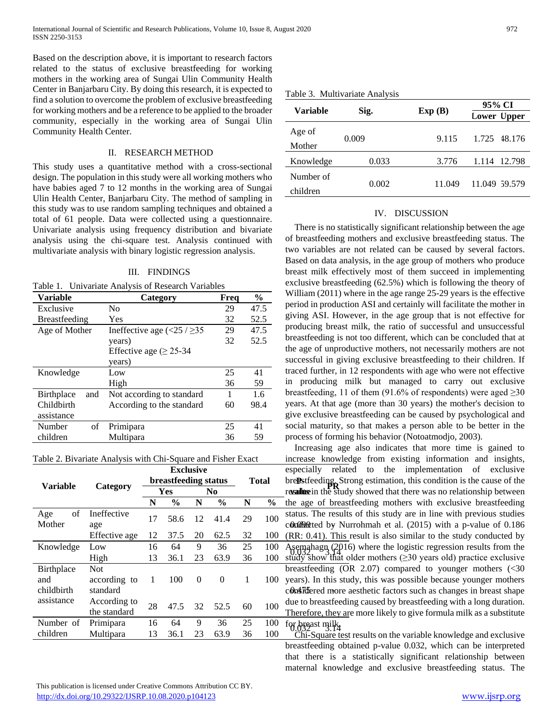Based on the description above, it is important to research factors related to the status of exclusive breastfeeding for working mothers in the working area of Sungai Ulin Community Health Center in Banjarbaru City. By doing this research, it is expected to find a solution to overcome the problem of exclusive breastfeeding for working mothers and be a reference to be applied to the broader community, especially in the working area of Sungai Ulin Community Health Center.

## II. RESEARCH METHOD

This study uses a quantitative method with a cross-sectional design. The population in this study were all working mothers who have babies aged 7 to 12 months in the working area of Sungai Ulin Health Center, Banjarbaru City. The method of sampling in this study was to use random sampling techniques and obtained a total of 61 people. Data were collected using a questionnaire. Univariate analysis using frequency distribution and bivariate analysis using the chi-square test. Analysis continued with multivariate analysis with binary logistic regression analysis.

#### III. FINDINGS

Table 1. Univariate Analysis of Research Variables

| <b>Variable</b>      | Category                                                  | Freq | $\frac{6}{6}$ |
|----------------------|-----------------------------------------------------------|------|---------------|
| Exclusive            | No.                                                       | 29   | 47.5          |
| <b>Breastfeeding</b> | Yes                                                       | 32   | 52.5          |
| Age of Mother        | Ineffective age $\left( \langle 25 / 235 \rangle \right)$ | 29   | 47.5          |
|                      | years)                                                    | 32   | 52.5          |
|                      | Effective age ( $\geq$ 25-34                              |      |               |
|                      | years)                                                    |      |               |
| Knowledge            | Low                                                       | 25   | 41            |
|                      | High                                                      | 36   | 59            |
| Birthplace<br>and    | Not according to standard                                 |      | 1.6           |
| Childbirth           | According to the standard                                 | 60   | 98.4          |
| assistance           |                                                           |      |               |
| οf<br>Number         | Primipara                                                 | 25   | 41            |
| children             | Multipara                                                 | 36   | 59            |

Table 2. Bivariate Analysis with Chi-Square and Fisher Exact

|                     |                    | <b>Exclusive</b>     |               |                | <b>Total</b>  |    | especially<br>rel                              |                                    |
|---------------------|--------------------|----------------------|---------------|----------------|---------------|----|------------------------------------------------|------------------------------------|
| <b>Variable</b>     | Category           | breastfeeding status |               |                |               |    | bre <b>R</b> stfeeding<br>resallute in the stu |                                    |
|                     |                    | Yes                  |               | N <sub>0</sub> |               |    |                                                |                                    |
|                     |                    | N                    | $\frac{6}{9}$ | N              | $\frac{6}{9}$ | N  | $\frac{6}{9}$                                  | the age of bre                     |
| of<br>Age<br>Mother | Ineffective<br>age | 17                   | 58.6          | 12             | 41.4          | 29 | 100                                            | status. The resu<br>conducted by 1 |
|                     | Effective age      | 12                   | 37.5          | 20             | 62.5          | 32 | 100                                            | $(RR: 0.41)$ . Th                  |
| Knowledge           | Low                | 16                   | 64            | 9              | 36            | 25 | 100                                            | Asemahagn $(2)$                    |
|                     | High               | 13                   | 36.1          | 23             | 63.9          | 36 | 100                                            | study show tha                     |
| Birthplace          | <b>Not</b>         |                      |               |                |               |    |                                                | breastfeeding (                    |
| and                 | according to       | 1                    | 100           | $\theta$       | $\Omega$      | 1  | 100                                            | years). In this                    |
| childbirth          | standard           |                      |               |                |               |    |                                                | com Motered mor                    |
| assistance          | According to       | 28                   | 47.5          | 32             | 52.5          | 60 | 100                                            | due to breastfee                   |
|                     | the standard       |                      |               |                |               |    |                                                | Therefore, they                    |
| Number of           | Primipara          | 16                   | 64            | 9              | 36            | 25 | 100                                            | for breast milk                    |
| children            | Multipara          | 13                   | 36.1          | 23             | 63.9          | 36 | 100                                            | Chi-Square to                      |

Table 3. Multivariate Analysis

| <b>Variable</b>       |       |        | 95% CI        |  |  |  |  |
|-----------------------|-------|--------|---------------|--|--|--|--|
|                       | Sig.  | Exp(B) | Lower Upper   |  |  |  |  |
| Age of<br>Mother      | 0.009 | 9.115  | 1.725 48.176  |  |  |  |  |
| Knowledge             | 0.033 | 3.776  | 1.114 12.798  |  |  |  |  |
| Number of<br>children | 0.002 | 11.049 | 11.049 59.579 |  |  |  |  |

### IV. DISCUSSION

There is no statistically significant relationship between the age of breastfeeding mothers and exclusive breastfeeding status. The two variables are not related can be caused by several factors. Based on data analysis, in the age group of mothers who produce breast milk effectively most of them succeed in implementing exclusive breastfeeding (62.5%) which is following the theory of William (2011) where in the age range 25-29 years is the effective period in production ASI and certainly will facilitate the mother in giving ASI. However, in the age group that is not effective for producing breast milk, the ratio of successful and unsuccessful breastfeeding is not too different, which can be concluded that at the age of unproductive mothers, not necessarily mothers are not successful in giving exclusive breastfeeding to their children. If traced further, in 12 respondents with age who were not effective in producing milk but managed to carry out exclusive breastfeeding, 11 of them (91.6% of respondents) were aged  $\geq 30$ years. At that age (more than 30 years) the mother's decision to give exclusive breastfeeding can be caused by psychological and social maturity, so that makes a person able to be better in the process of forming his behavior (Notoatmodjo, 2003).

**breastfeeding status Total** brearing Strong estimation, this condition is the cause of the **value PR Yes No** results in the study showed that there was no relationship between 17 58.6 12 41.4 29 100 status. The results of this study are in the with previous status. considered more aesthetic factors such as changes in breast shape Increasing age also indicates that more time is gained to increase knowledge from existing information and insights, especially related to the implementation of exclusive the age of breastfeeding mothers with exclusive breastfeeding status. The results of this study are in line with previous studies (RR: 0.41). This result is also similar to the study conducted by Asemahagn (2016) where the logistic regression results from the study show that older mothers  $(\geq 30$  years old) practice exclusive breastfeeding (OR 2.07) compared to younger mothers (<30 years). In this study, this was possible because younger mothers due to breastfeeding caused by breastfeeding with a long duration. Therefore, they are more likely to give formula milk as a substitute

> Chi-Square test results on the variable knowledge and exclusive breastfeeding obtained p-value 0.032, which can be interpreted that there is a statistically significant relationship between maternal knowledge and exclusive breastfeeding status. The

 This publication is licensed under Creative Commons Attribution CC BY. <http://dx.doi.org/10.29322/IJSRP.10.08.2020.p104123> [www.ijsrp.org](http://ijsrp.org/)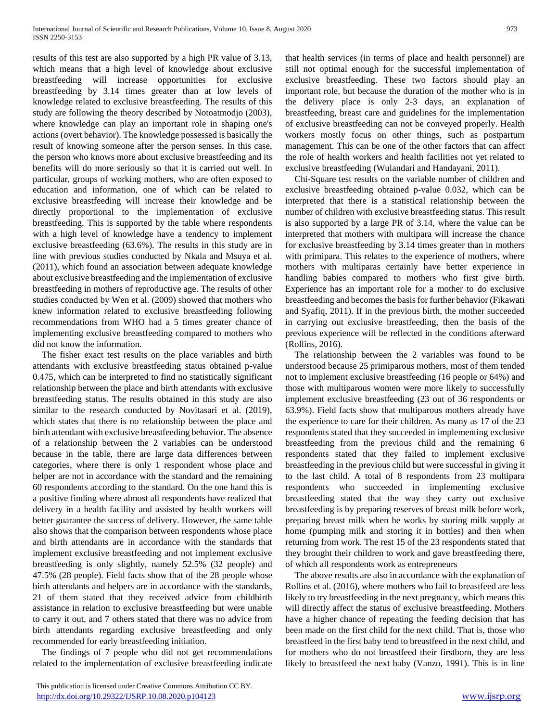results of this test are also supported by a high PR value of 3.13, which means that a high level of knowledge about exclusive breastfeeding will increase opportunities for exclusive breastfeeding by 3.14 times greater than at low levels of knowledge related to exclusive breastfeeding. The results of this study are following the theory described by Notoatmodjo (2003), where knowledge can play an important role in shaping one's actions (overt behavior). The knowledge possessed is basically the result of knowing someone after the person senses. In this case, the person who knows more about exclusive breastfeeding and its benefits will do more seriously so that it is carried out well. In particular, groups of working mothers, who are often exposed to education and information, one of which can be related to exclusive breastfeeding will increase their knowledge and be directly proportional to the implementation of exclusive breastfeeding. This is supported by the table where respondents with a high level of knowledge have a tendency to implement exclusive breastfeeding (63.6%). The results in this study are in line with previous studies conducted by Nkala and Msuya et al. (2011), which found an association between adequate knowledge about exclusive breastfeeding and the implementation of exclusive breastfeeding in mothers of reproductive age. The results of other studies conducted by Wen et al. (2009) showed that mothers who knew information related to exclusive breastfeeding following recommendations from WHO had a 5 times greater chance of implementing exclusive breastfeeding compared to mothers who did not know the information.

The fisher exact test results on the place variables and birth attendants with exclusive breastfeeding status obtained p-value 0.475, which can be interpreted to find no statistically significant relationship between the place and birth attendants with exclusive breastfeeding status. The results obtained in this study are also similar to the research conducted by Novitasari et al. (2019), which states that there is no relationship between the place and birth attendant with exclusive breastfeeding behavior. The absence of a relationship between the 2 variables can be understood because in the table, there are large data differences between categories, where there is only 1 respondent whose place and helper are not in accordance with the standard and the remaining 60 respondents according to the standard. On the one hand this is a positive finding where almost all respondents have realized that delivery in a health facility and assisted by health workers will better guarantee the success of delivery. However, the same table also shows that the comparison between respondents whose place and birth attendants are in accordance with the standards that implement exclusive breastfeeding and not implement exclusive breastfeeding is only slightly, namely 52.5% (32 people) and 47.5% (28 people). Field facts show that of the 28 people whose birth attendants and helpers are in accordance with the standards, 21 of them stated that they received advice from childbirth assistance in relation to exclusive breastfeeding but were unable to carry it out, and 7 others stated that there was no advice from birth attendants regarding exclusive breastfeeding and only recommended for early breastfeeding initiation.

The findings of 7 people who did not get recommendations related to the implementation of exclusive breastfeeding indicate that health services (in terms of place and health personnel) are still not optimal enough for the successful implementation of exclusive breastfeeding. These two factors should play an important role, but because the duration of the mother who is in the delivery place is only 2-3 days, an explanation of breastfeeding, breast care and guidelines for the implementation of exclusive breastfeeding can not be conveyed properly. Health workers mostly focus on other things, such as postpartum management. This can be one of the other factors that can affect the role of health workers and health facilities not yet related to exclusive breastfeeding (Wulandari and Handayani, 2011).

Chi-Square test results on the variable number of children and exclusive breastfeeding obtained p-value 0.032, which can be interpreted that there is a statistical relationship between the number of children with exclusive breastfeeding status. This result is also supported by a large PR of 3.14, where the value can be interpreted that mothers with multipara will increase the chance for exclusive breastfeeding by 3.14 times greater than in mothers with primipara. This relates to the experience of mothers, where mothers with multiparas certainly have better experience in handling babies compared to mothers who first give birth. Experience has an important role for a mother to do exclusive breastfeeding and becomes the basis for further behavior (Fikawati and Syafiq, 2011). If in the previous birth, the mother succeeded in carrying out exclusive breastfeeding, then the basis of the previous experience will be reflected in the conditions afterward (Rollins, 2016).

The relationship between the 2 variables was found to be understood because 25 primiparous mothers, most of them tended not to implement exclusive breastfeeding (16 people or 64%) and those with multiparous women were more likely to successfully implement exclusive breastfeeding (23 out of 36 respondents or 63.9%). Field facts show that multiparous mothers already have the experience to care for their children. As many as 17 of the 23 respondents stated that they succeeded in implementing exclusive breastfeeding from the previous child and the remaining 6 respondents stated that they failed to implement exclusive breastfeeding in the previous child but were successful in giving it to the last child. A total of 8 respondents from 23 multipara respondents who succeeded in implementing exclusive breastfeeding stated that the way they carry out exclusive breastfeeding is by preparing reserves of breast milk before work, preparing breast milk when he works by storing milk supply at home (pumping milk and storing it in bottles) and then when returning from work. The rest 15 of the 23 respondents stated that they brought their children to work and gave breastfeeding there, of which all respondents work as entrepreneurs

The above results are also in accordance with the explanation of Rollins et al. (2016), where mothers who fail to breastfeed are less likely to try breastfeeding in the next pregnancy, which means this will directly affect the status of exclusive breastfeeding. Mothers have a higher chance of repeating the feeding decision that has been made on the first child for the next child. That is, those who breastfeed in the first baby tend to breastfeed in the next child, and for mothers who do not breastfeed their firstborn, they are less likely to breastfeed the next baby (Vanzo, 1991). This is in line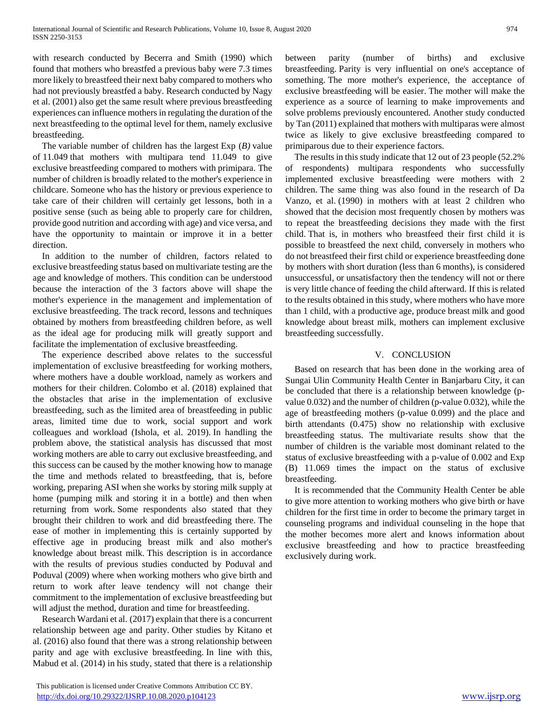with research conducted by Becerra and Smith (1990) which found that mothers who breastfed a previous baby were 7.3 times more likely to breastfeed their next baby compared to mothers who had not previously breastfed a baby. Research conducted by Nagy et al. (2001) also get the same result where previous breastfeeding experiences can influence mothers in regulating the duration of the next breastfeeding to the optimal level for them, namely exclusive breastfeeding.

The variable number of children has the largest Exp (*B)* value of 11.049 that mothers with multipara tend 11.049 to give exclusive breastfeeding compared to mothers with primipara. The number of children is broadly related to the mother's experience in childcare. Someone who has the history or previous experience to take care of their children will certainly get lessons, both in a positive sense (such as being able to properly care for children, provide good nutrition and according with age) and vice versa, and have the opportunity to maintain or improve it in a better direction.

In addition to the number of children, factors related to exclusive breastfeeding status based on multivariate testing are the age and knowledge of mothers. This condition can be understood because the interaction of the 3 factors above will shape the mother's experience in the management and implementation of exclusive breastfeeding. The track record, lessons and techniques obtained by mothers from breastfeeding children before, as well as the ideal age for producing milk will greatly support and facilitate the implementation of exclusive breastfeeding.

The experience described above relates to the successful implementation of exclusive breastfeeding for working mothers, where mothers have a double workload, namely as workers and mothers for their children. Colombo et al. (2018) explained that the obstacles that arise in the implementation of exclusive breastfeeding, such as the limited area of breastfeeding in public areas, limited time due to work, social support and work colleagues and workload (Ishola, et al. 2019). In handling the problem above, the statistical analysis has discussed that most working mothers are able to carry out exclusive breastfeeding, and this success can be caused by the mother knowing how to manage the time and methods related to breastfeeding, that is, before working, preparing ASI when she works by storing milk supply at home (pumping milk and storing it in a bottle) and then when returning from work. Some respondents also stated that they brought their children to work and did breastfeeding there. The ease of mother in implementing this is certainly supported by effective age in producing breast milk and also mother's knowledge about breast milk. This description is in accordance with the results of previous studies conducted by Poduval and Poduval (2009) where when working mothers who give birth and return to work after leave tendency will not change their commitment to the implementation of exclusive breastfeeding but will adjust the method, duration and time for breastfeeding.

Research Wardani et al. (2017) explain that there is a concurrent relationship between age and parity. Other studies by Kitano et al. (2016) also found that there was a strong relationship between parity and age with exclusive breastfeeding. In line with this, Mabud et al. (2014) in his study, stated that there is a relationship

 This publication is licensed under Creative Commons Attribution CC BY. <http://dx.doi.org/10.29322/IJSRP.10.08.2020.p104123> [www.ijsrp.org](http://ijsrp.org/)

between parity (number of births) and exclusive breastfeeding. Parity is very influential on one's acceptance of something. The more mother's experience, the acceptance of exclusive breastfeeding will be easier. The mother will make the experience as a source of learning to make improvements and solve problems previously encountered. Another study conducted by Tan (2011) explained that mothers with multiparas were almost twice as likely to give exclusive breastfeeding compared to primiparous due to their experience factors.

The results in this study indicate that 12 out of 23 people (52.2% of respondents) multipara respondents who successfully implemented exclusive breastfeeding were mothers with 2 children. The same thing was also found in the research of Da Vanzo, et al. (1990) in mothers with at least 2 children who showed that the decision most frequently chosen by mothers was to repeat the breastfeeding decisions they made with the first child. That is, in mothers who breastfeed their first child it is possible to breastfeed the next child, conversely in mothers who do not breastfeed their first child or experience breastfeeding done by mothers with short duration (less than 6 months), is considered unsuccessful, or unsatisfactory then the tendency will not or there is very little chance of feeding the child afterward. If this is related to the results obtained in this study, where mothers who have more than 1 child, with a productive age, produce breast milk and good knowledge about breast milk, mothers can implement exclusive breastfeeding successfully.

# V. CONCLUSION

Based on research that has been done in the working area of Sungai Ulin Community Health Center in Banjarbaru City, it can be concluded that there is a relationship between knowledge (pvalue 0.032) and the number of children (p-value 0.032), while the age of breastfeeding mothers (p-value 0.099) and the place and birth attendants (0.475) show no relationship with exclusive breastfeeding status. The multivariate results show that the number of children is the variable most dominant related to the status of exclusive breastfeeding with a p-value of 0.002 and Exp (B) 11.069 times the impact on the status of exclusive breastfeeding.

It is recommended that the Community Health Center be able to give more attention to working mothers who give birth or have children for the first time in order to become the primary target in counseling programs and individual counseling in the hope that the mother becomes more alert and knows information about exclusive breastfeeding and how to practice breastfeeding exclusively during work.